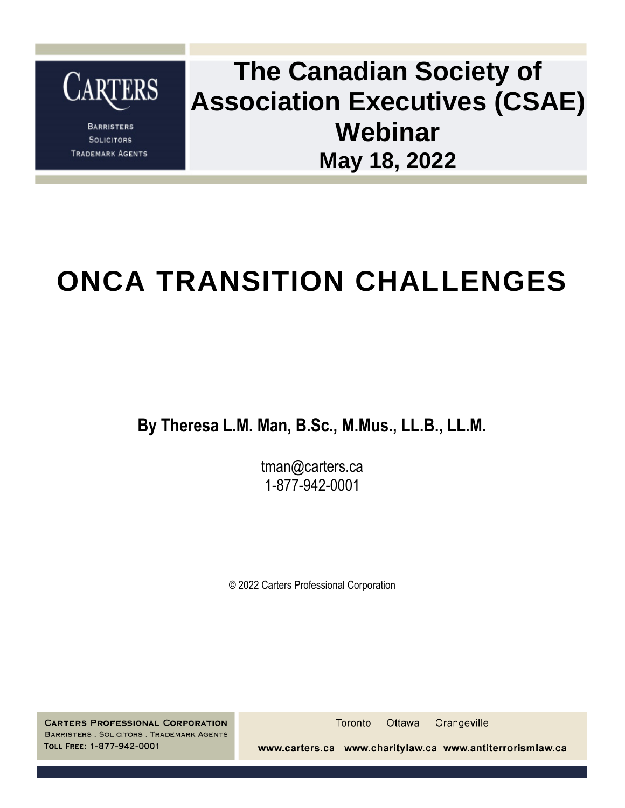

**BARRISTERS SOLICITORS TRADEMARK AGENTS** 

### **The Canadian Society of Association Executives (CSAE) Webinar May 18, 2022**

### **ONCA TRANSITION CHALLENGES**

**By Theresa L.M. Man, B.Sc., M.Mus., LL.B., LL.M.**

tman@carters.ca 1-877-942-0001

© 2022 Carters Professional Corporation

**CARTERS PROFESSIONAL CORPORATION** BARRISTERS . SOLICITORS . TRADEMARK AGENTS TOLL FREE: 1-877-942-0001

Toronto Ottawa Orangeville

www.carters.ca www.charitylaw.ca www.antiterrorismlaw.ca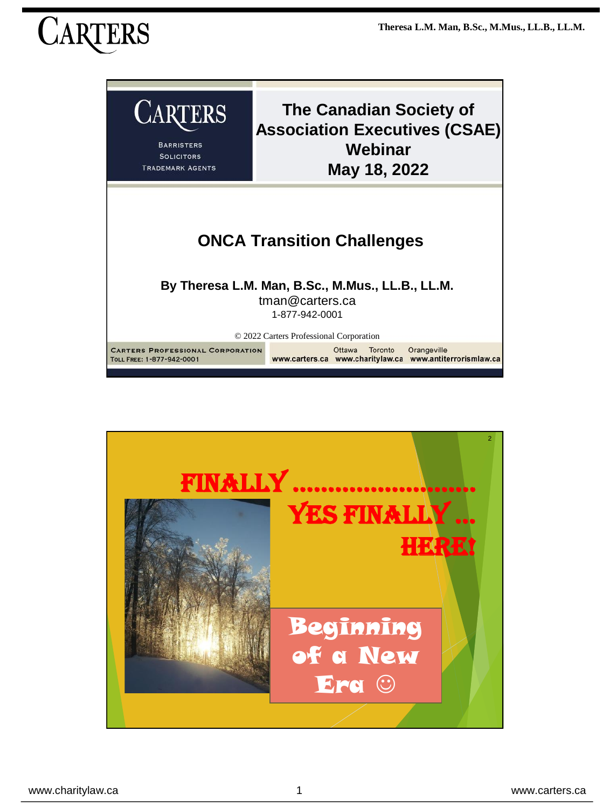### TERS



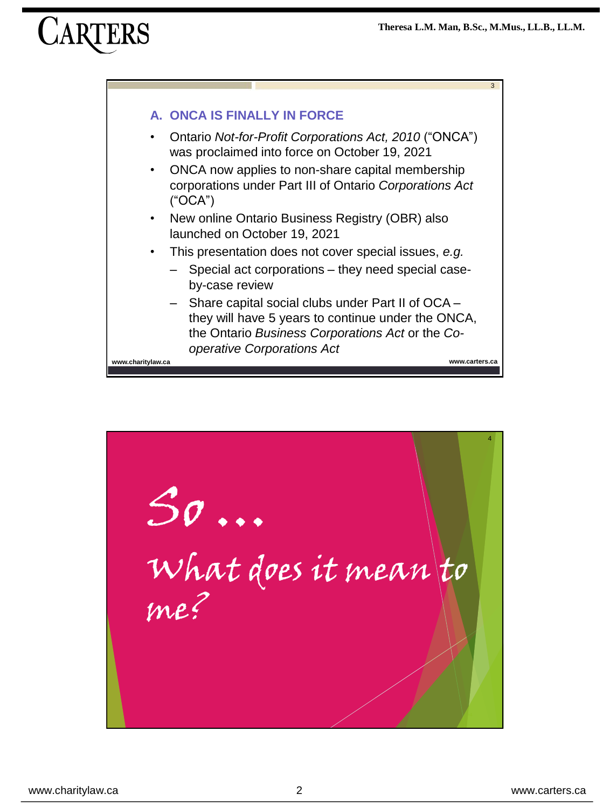

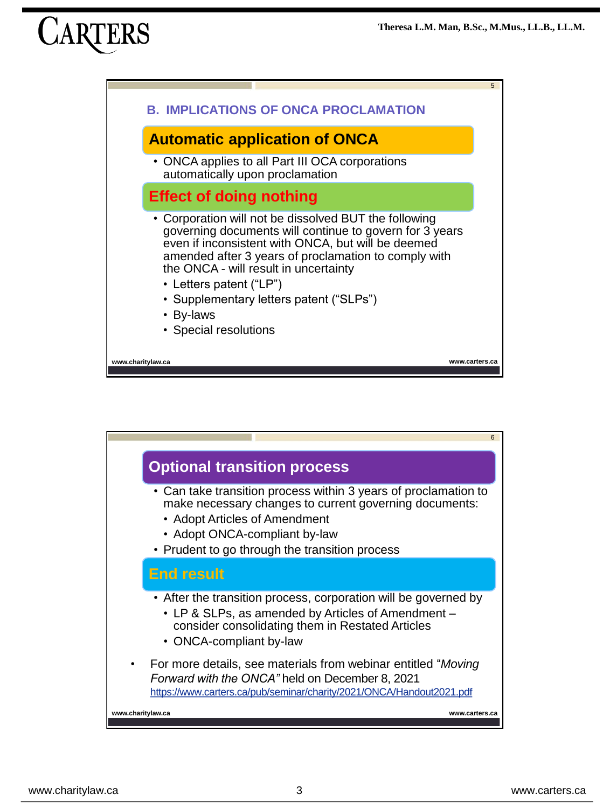



www.charitylaw.ca www.carters.ca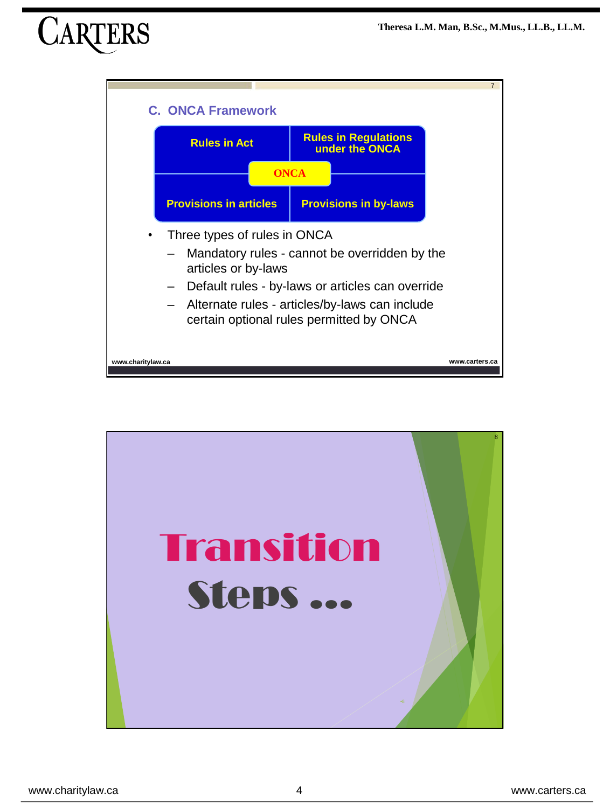

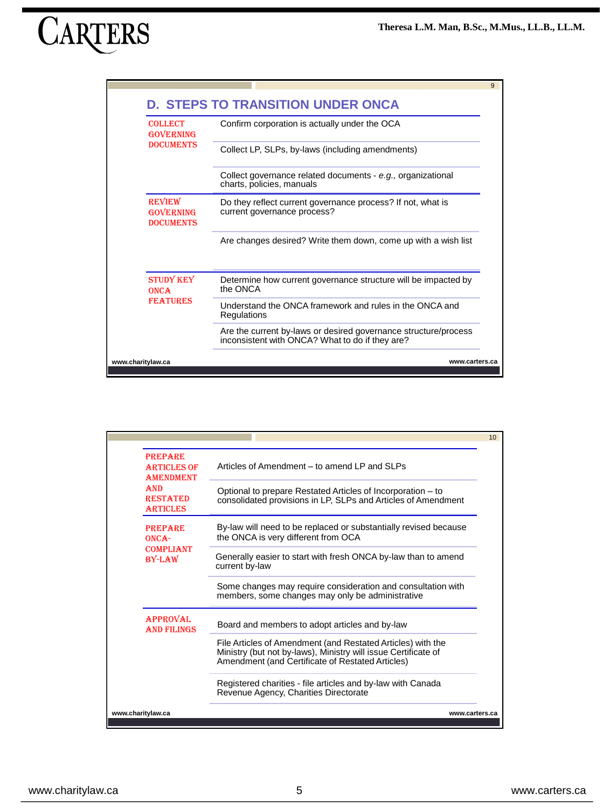| <b>COLLECT</b><br><b>GOVERNING</b><br><b>DOCUMENTS</b> | Confirm corporation is actually under the OCA                                              |
|--------------------------------------------------------|--------------------------------------------------------------------------------------------|
|                                                        | Collect LP, SLPs, by-laws (including amendments)                                           |
|                                                        | Collect governance related documents - e.g., organizational<br>charts, policies, manuals   |
| <b>REVIEW</b><br><b>GOVERNING</b><br><b>DOCUMENTS</b>  | Do they reflect current governance process? If not, what is<br>current governance process? |
|                                                        | Are changes desired? Write them down, come up with a wish list                             |
| <b>STUDY KEY</b><br><b>ONCA</b><br><b>FEATURES</b>     | Determine how current governance structure will be impacted by<br>the ONCA                 |
|                                                        | Understand the ONCA framework and rules in the ONCA and<br>Regulations                     |
|                                                        | Are the current by-laws or desired governance structure/process                            |

| <b>PREPARE</b><br><b>ARTICLES OF</b><br><b>AMENDMENT</b><br><b>AND</b><br><b>RESTATED</b><br><b>ARTICLES</b><br><b>PREPARE</b><br>ONCA-<br><b>COMPLIANT</b><br>$BY-I.AW$ | Articles of Amendment – to amend I P and SI Ps<br>Optional to prepare Restated Articles of Incorporation – to<br>consolidated provisions in LP, SLPs and Articles of Amendment<br>By-law will need to be replaced or substantially revised because<br>the ONCA is very different from OCA<br>Generally easier to start with fresh ONCA by-law than to amend |  |
|--------------------------------------------------------------------------------------------------------------------------------------------------------------------------|-------------------------------------------------------------------------------------------------------------------------------------------------------------------------------------------------------------------------------------------------------------------------------------------------------------------------------------------------------------|--|
|                                                                                                                                                                          |                                                                                                                                                                                                                                                                                                                                                             |  |
|                                                                                                                                                                          |                                                                                                                                                                                                                                                                                                                                                             |  |
|                                                                                                                                                                          |                                                                                                                                                                                                                                                                                                                                                             |  |
|                                                                                                                                                                          | current by-law                                                                                                                                                                                                                                                                                                                                              |  |
|                                                                                                                                                                          | Some changes may require consideration and consultation with<br>members, some changes may only be administrative                                                                                                                                                                                                                                            |  |
| <b>APPROVAL</b><br><b>AND FILINGS</b>                                                                                                                                    | Board and members to adopt articles and by-law                                                                                                                                                                                                                                                                                                              |  |
|                                                                                                                                                                          | File Articles of Amendment (and Restated Articles) with the<br>Ministry (but not by-laws), Ministry will issue Certificate of<br>Amendment (and Certificate of Restated Articles)                                                                                                                                                                           |  |
|                                                                                                                                                                          | Registered charities - file articles and by-law with Canada<br>Revenue Agency, Charities Directorate                                                                                                                                                                                                                                                        |  |
| www.charitylaw.ca                                                                                                                                                        | www.carters.ca                                                                                                                                                                                                                                                                                                                                              |  |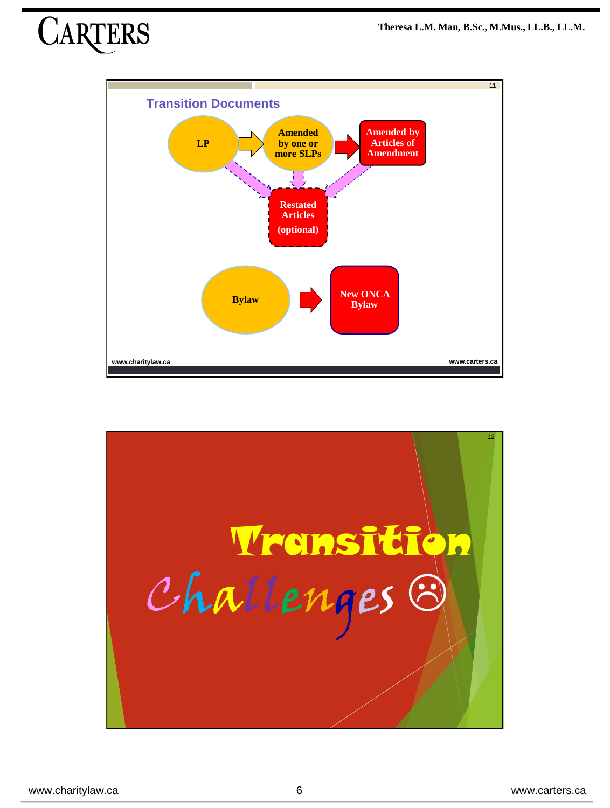

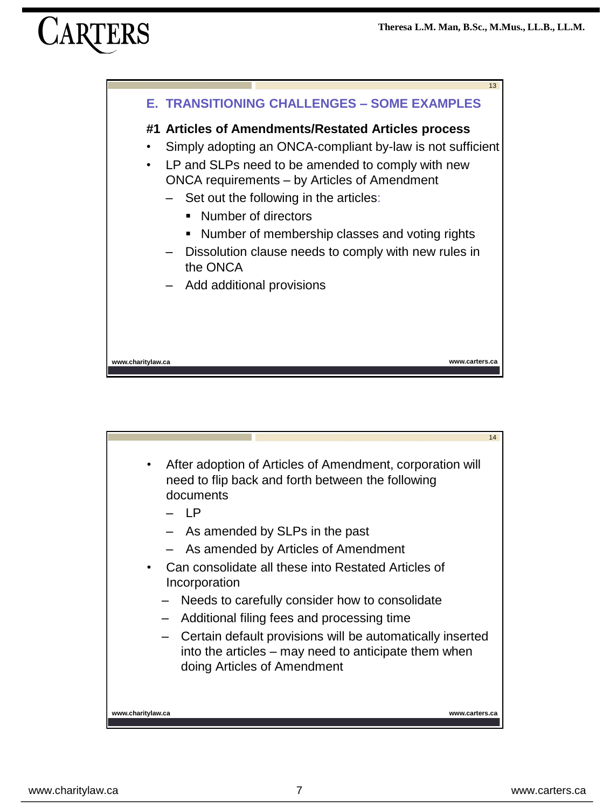

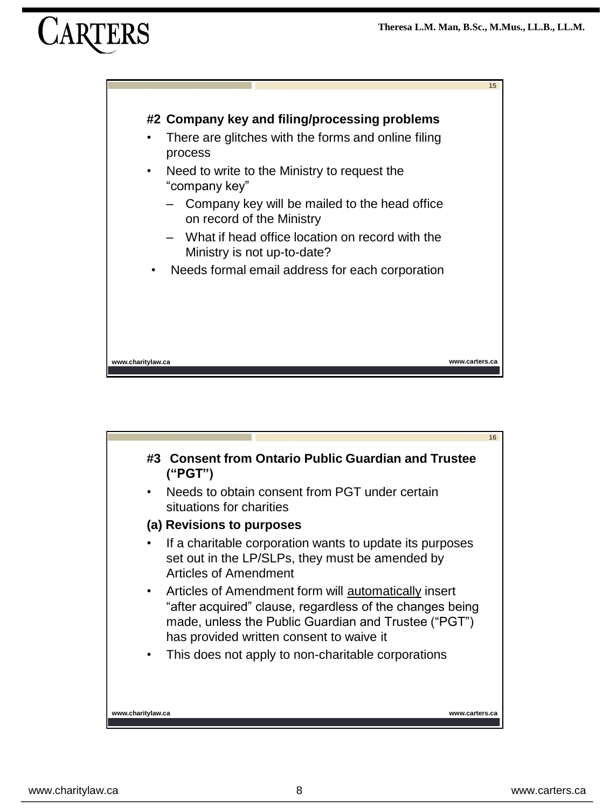

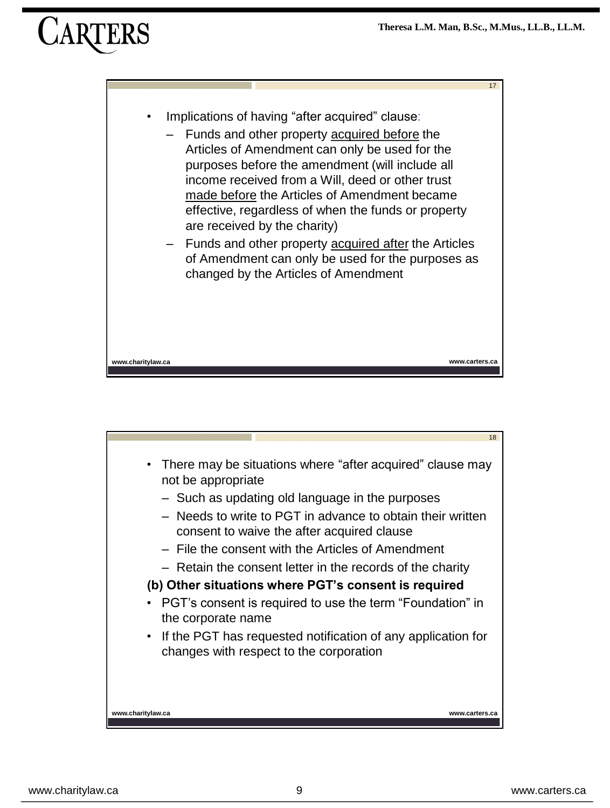

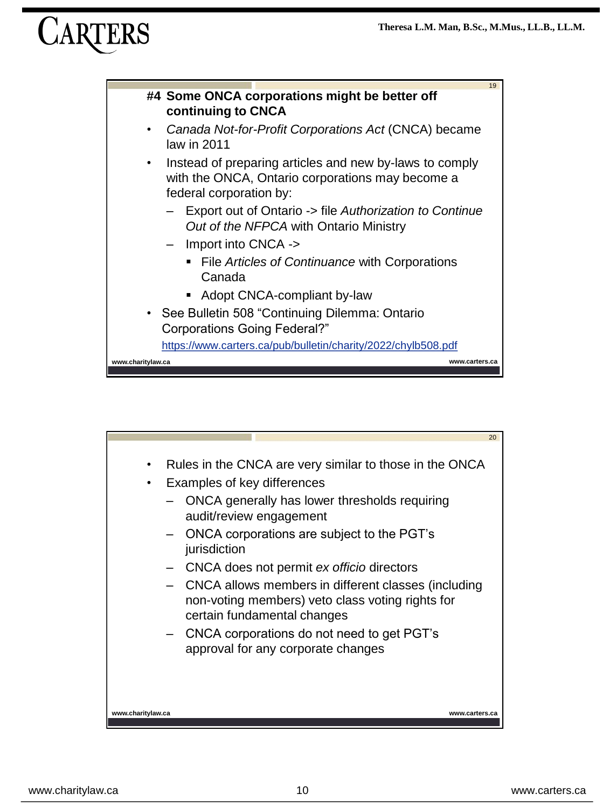

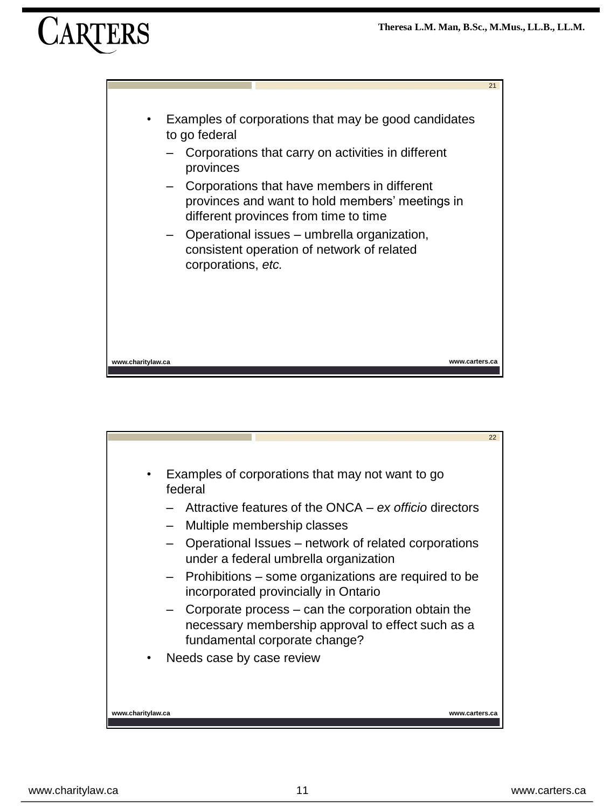